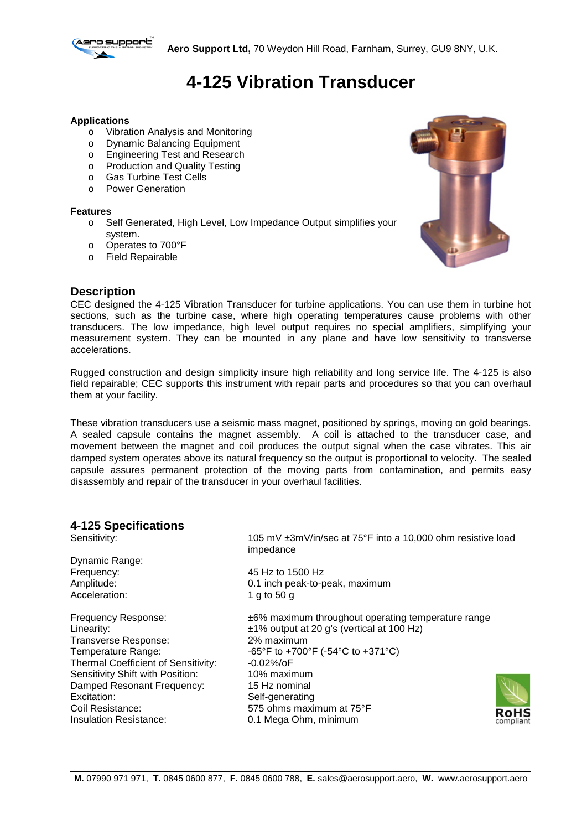

# **4-125 Vibration Transducer**

### **Applications**

- o Vibration Analysis and Monitoring
- o Dynamic Balancing Equipment
- o Engineering Test and Research
- o Production and Quality Testing
- o Gas Turbine Test Cells
- o Power Generation

#### **Features**

- o Self Generated, High Level, Low Impedance Output simplifies your system.
- o Operates to 700°F
- o Field Repairable



## **Description**

CEC designed the 4-125 Vibration Transducer for turbine applications. You can use them in turbine hot sections, such as the turbine case, where high operating temperatures cause problems with other transducers. The low impedance, high level output requires no special amplifiers, simplifying your measurement system. They can be mounted in any plane and have low sensitivity to transverse accelerations.

Rugged construction and design simplicity insure high reliability and long service life. The 4-125 is also field repairable; CEC supports this instrument with repair parts and procedures so that you can overhaul them at your facility.

These vibration transducers use a seismic mass magnet, positioned by springs, moving on gold bearings. A sealed capsule contains the magnet assembly. A coil is attached to the transducer case, and movement between the magnet and coil produces the output signal when the case vibrates. This air damped system operates above its natural frequency so the output is proportional to velocity. The sealed capsule assures permanent protection of the moving parts from contamination, and permits easy disassembly and repair of the transducer in your overhaul facilities.

# **4-125 Specifications**

105 mV ±3mV/in/sec at 75°F into a 10,000 ohm resistive load impedance Dynamic Range: Frequency: 45 Hz to 1500 Hz Amplitude: 0.1 inch peak-to-peak, maximum Acceleration: 1 g to 50 g Frequency Response: ±6% maximum throughout operating temperature range Linearity:  $\begin{array}{r} \text{Linear matrix:} \\ \text{Linear matrix:} \\ \text{Linear matrix:} \\ \text{Linear matrix:} \\ \text{Linear matrix:} \\ \text{Linear matrix:} \\ \text{Linear matrix:} \\ \text{Linear matrix:} \\ \text{Linear matrix:} \\ \text{Linear matrix:} \\ \text{Linear matrix:} \\ \text{Linear matrix:} \\ \text{Linear matrix:} \\ \text{Linear matrix:} \\ \text{Linear matrix:} \\ \text{Linear matrix:} \\ \text{Linear matrix:} \\ \text{Linear matrix:} \\ \text{Linear matrix:} \\ \text{Linear matrix:} \\ \text{Linear matrix:} \\ \text{Linear matrix:} \\ \text{Linear matrix:} \\ \text{Linear matrix:} \\ \text{Linear matrix:} \\ \text{$ Transverse Response:<br>Temperature Range: -65°F to +700°F (-54°C to +371°C)<br>-0.02%/oF Thermal Coefficient of Sensitivity: Sensitivity Shift with Position: 10% maximum Damped Resonant Frequency: 15 Hz nominal Excitation: Self-generating<br>
Coil Resistance: S75 ohms maxi Coil Resistance: 575 ohms maximum at 75°F<br>
Insulation Resistance: 0.1 Mega Ohm, minimum 0.1 Mega Ohm, minimum